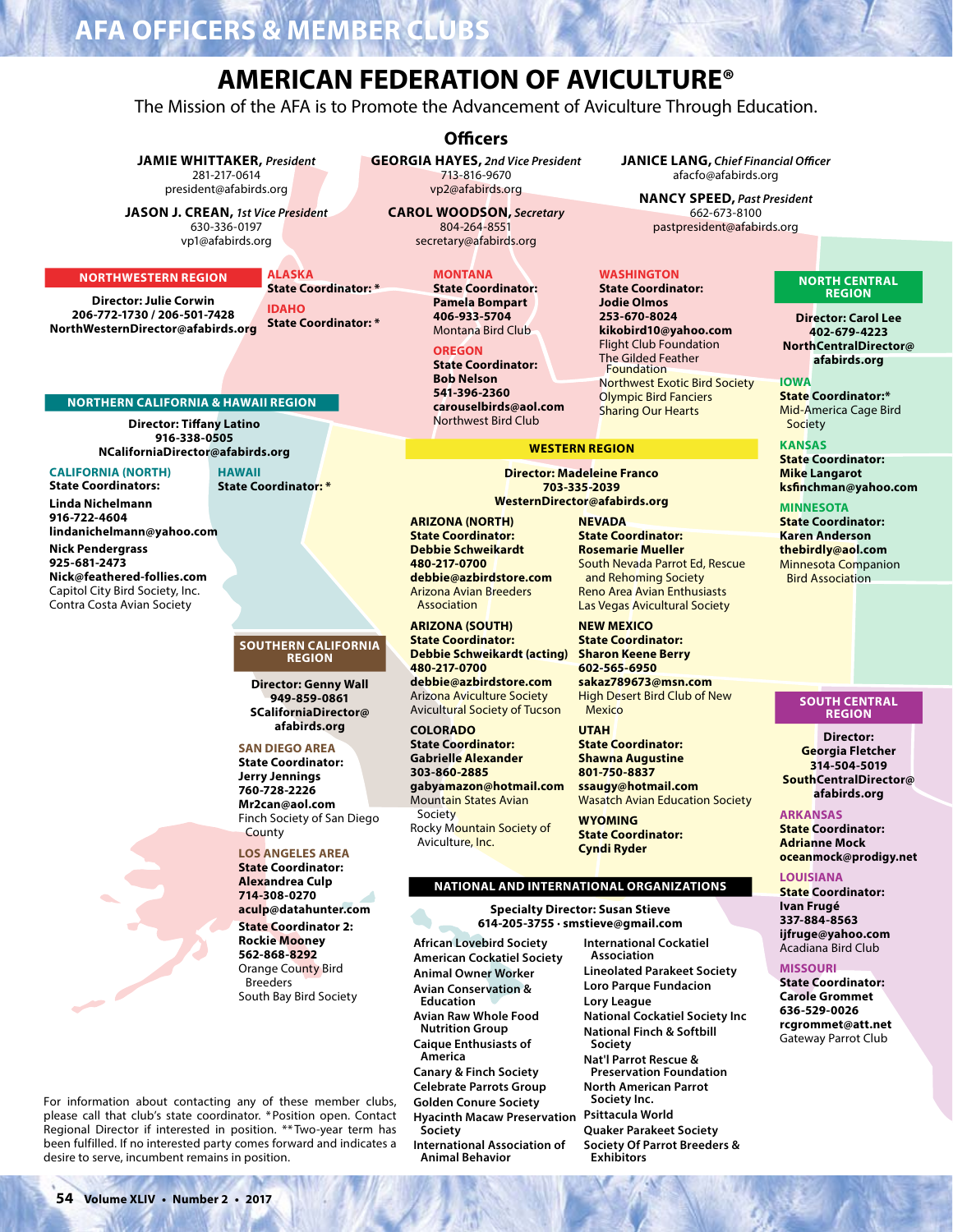# **AFA OFFICERS & MEM**

# **AMERICAN FEDERATION OF AVICULTURE®**

The Mission of the AFA is to Promote the Advancement of Aviculture Through Education.

#### **JAMIE WHITTAKER**, President 281-217-0614 president@afabirds.org

**JASON J. CREAN, 1st Vice President** 630-336-0197 vp1@afabirds.org

#### **NORTHWESTERN REGION**

**Director: Julie Corwin** 206-772-1730 / 206-501-7428 NorthWesternDirector@afabirds.org

**State Coordinator: \* IDAHO State Coordinator: \*** 

**ALASKA** 

# **Officers**

**GEORGIA HAYES**, 2nd Vice President 713-816-9670 vp2@afabirds.org

**CAROL WOODSON, Secretary** 804-264-8551 secretary@afabirds.org

# **MONTANA**

**State Coordinator: Pamela Bompart** 406-933-5704 Montana Bird Club

OREGON

**State Coordinator: Bob Nelson** 541-396-2360 carouselbirds@aol.com Northwest Bird Club

#### **JANICE LANG, Chief Financial Officer** afacfo@afabirds.org

**NANCY SPEED, Past President** 662-673-8100 pastpresident@afabirds.org

### **WASHINGTON**

**State Coordinator: Jodie Olmos** 253-670-8024 kikobird10@yahoo.com **Flight Club Foundation** The Gilded Feather Foundation Northwest Exotic Bird Society **Olympic Bird Fanciers Sharing Our Hearts** 

#### **WESTERN REGION**

**Director: Madeleine Franco** 703-335-2039 WesternDirector@afabirds.org

**ARIZONA (NORTH) State Coordinator: Debbie Schweikardt** 480-217-0700 debbie@azbirdstore.com **Arizona Avian Breeders** Association

**ARIZONA (SOUTH) State Coordinator: Debbie Schweikardt (acting)** 480-217-0700 debbie@azbirdstore.com **Arizona Aviculture Society Avicultural Society of Tucson** 

**COLORADO State Coordinator: Gabrielle Alexander** 303-860-2885 gabyamazon@hotmail.com **Mountain States Avian** Society Rocky Mountain Society of Aviculture, Inc.

**NEVADA State Coordinator: Rosemarie Mueller** South Nevada Parrot Ed, Rescue and Rehoming Society **Reno Area Avian Enthusiasts** Las Vegas Avicultural Society

**NEW MEXICO State Coordinator: Sharon Keene Berry** 602-565-6950 sakaz789673@msn.com **High Desert Bird Club of New** Mexico

**UTAH State Coordinator: Shawna Augustine** 801-750-8837 ssaugy@hotmail.com **Wasatch Avian Education Society** 

**WYOMING State Coordinator: Cyndi Ryder** 

# NATIONAL AND INTERNATIONAL ORGANIZATIONS

**Specialty Director: Susan Stieve** 614-205-3755 · smstieve@gmail.com

**African Lovebird Society American Cockatiel Society Animal Owner Worker Avian Conservation &** Education **Avian Raw Whole Food Nutrition Group Caique Enthusiasts of** America **Canary & Finch Society Celebrate Parrots Group Golden Conure Society Hyacinth Macaw Preservation** Society **International Association of Animal Behavior** 

**International Cockatiel** Association **Lineolated Parakeet Society Loro Parque Fundacion** Lory League **National Cockatiel Society Inc National Finch & Softbill** Society Nat'l Parrot Rescue & **Preservation Foundation North American Parrot** Society Inc. Psittacula World **Quaker Parakeet Society Society Of Parrot Breeders & Exhibitors** 

#### **NORTH CENTRAL REGION**

**Director: Carol Lee** 402-679-4223 NorthCentralDirector@ afabirds.org

**IOWA State Coordinator:\*** Mid-America Cage Bird Society

**KANSAS** 

**State Coordinator: Mike Langarot** ksfinchman@yahoo.com

# **MINNESOTA**

**State Coordinator: Karen Anderson** thebirdly@aol.com **Minnesota Companion Bird Association** 

#### **SOUTH CENTRAL REGION**

**Director:** Georgia Fletcher 314-504-5019 SouthCentralDirector@ afabirds.org

#### **ARKANSAS**

**State Coordinator: Adrianne Mock** oceanmock@prodigy.net

# **LOUISIANA**

**State Coordinator:** Ivan Frugé 337-884-8563 ijfruge@yahoo.com Acadiana Bird Club

#### **MISSOURI**

**State Coordinator: Carole Grommet** 636-529-0026 rcgrommet@att.net Gateway Parrot Club

For information about contacting any of these member clubs, please call that club's state coordinator. \* Position open. Contact Regional Director if interested in position. \*\* Two-year term has been fulfilled. If no interested party comes forward and indicates a desire to serve, incumbent remains in position.

lindanichelmann@yahoo.com

**HAWAII** 

**State Coordinator:**\*

**Nick Pendergrass** 925-681-2473 Nick@feathered-follies.com Capitol City Bird Society, Inc. Contra Costa Avian Society

**CALIFORNIA (NORTH)** 

**State Coordinators:** 

Linda Nichelmann

916-722-4604

#### **SOUTHERN CALIFORNIA REGION**

**Director: Genny Wall** 949-859-0861 SCaliforniaDirector@ afabirds.org

#### **SAN DIEGO AREA**

**State Coordinator: Jerry Jennings** 760-728-2226 Mr2can@aol.com Finch Society of San Diego County

# **LOS ANGELES AREA**

**State Coordinator: Alexandrea Culp** 714-308-0270 aculp@datahunter.com **State Coordinator 2: Rockie Mooney** 562-868-8292 **Orange County Bird Breeders** South Bay Bird Society

**NORTHERN CALIFORNIA & HAWAII REGION** 

**Director: Tiffany Latino** 

916-338-0505

NCaliforniaDirector@afabirds.org